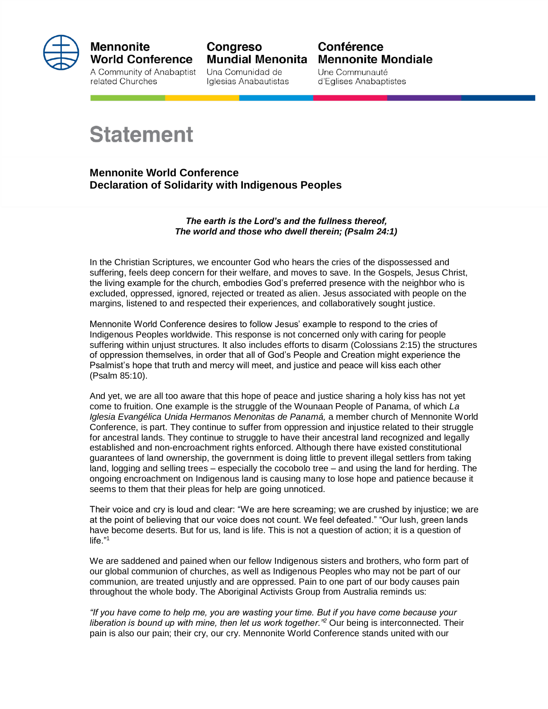

## **Mennonite World Conference**

A Community of Anabaptist related Churches

Congreso **Mundial Menonita** 

Una Comunidad de Iglesias Anabautistas

## Conférence **Mennonite Mondiale**

Une Communauté d'Eglises Anabaptistes

## **Statement**

**Mennonite World Conference Declaration of Solidarity with Indigenous Peoples**

> *The earth is the Lord's and the fullness thereof, The world and those who dwell therein; (Psalm 24:1)*

In the Christian Scriptures, we encounter God who hears the cries of the dispossessed and suffering, feels deep concern for their welfare, and moves to save. In the Gospels, Jesus Christ, the living example for the church, embodies God's preferred presence with the neighbor who is excluded, oppressed, ignored, rejected or treated as alien. Jesus associated with people on the margins, listened to and respected their experiences, and collaboratively sought justice.

Mennonite World Conference desires to follow Jesus' example to respond to the cries of Indigenous Peoples worldwide. This response is not concerned only with caring for people suffering within unjust structures. It also includes efforts to disarm (Colossians 2:15) the structures of oppression themselves, in order that all of God's People and Creation might experience the Psalmist's hope that truth and mercy will meet, and justice and peace will kiss each other (Psalm 85:10).

And yet, we are all too aware that this hope of peace and justice sharing a holy kiss has not yet come to fruition. One example is the struggle of the Wounaan People of Panama, of which *La Iglesia Evangélica Unida Hermanos Menonitas de Panamá,* a member church of Mennonite World Conference, is part. They continue to suffer from oppression and injustice related to their struggle for ancestral lands. They continue to struggle to have their ancestral land recognized and legally established and non-encroachment rights enforced. Although there have existed constitutional guarantees of land ownership, the government is doing little to prevent illegal settlers from taking land, logging and selling trees – especially the cocobolo tree – and using the land for herding. The ongoing encroachment on Indigenous land is causing many to lose hope and patience because it seems to them that their pleas for help are going unnoticed.

Their voice and cry is loud and clear: "We are here screaming; we are crushed by injustice; we are at the point of believing that our voice does not count. We feel defeated." "Our lush, green lands have become deserts. But for us, land is life. This is not a question of action; it is a question of life."<sup>1</sup>

We are saddened and pained when our fellow Indigenous sisters and brothers, who form part of our global communion of churches, as well as Indigenous Peoples who may not be part of our communion, are treated unjustly and are oppressed. Pain to one part of our body causes pain throughout the whole body. The Aboriginal Activists Group from Australia reminds us:

*"If you have come to help me, you are wasting your time. But if you have come because your liberation is bound up with mine, then let us work together."<sup>2</sup>* Our being is interconnected. Their pain is also our pain; their cry, our cry. Mennonite World Conference stands united with our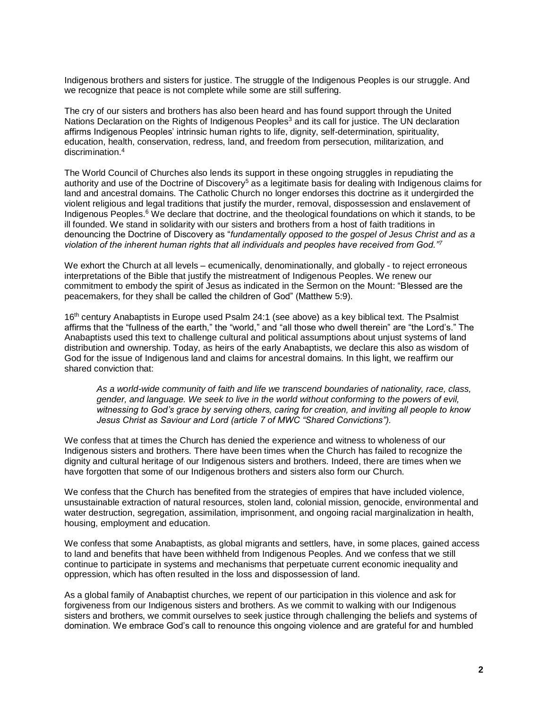Indigenous brothers and sisters for justice. The struggle of the Indigenous Peoples is our struggle. And we recognize that peace is not complete while some are still suffering.

The cry of our sisters and brothers has also been heard and has found support through the United Nations Declaration on the Rights of Indigenous Peoples<sup>3</sup> and its call for justice. The UN declaration affirms Indigenous Peoples' intrinsic human rights to life, dignity, self-determination, spirituality, education, health, conservation, redress, land, and freedom from persecution, militarization, and discrimination<sup>4</sup>

The World Council of Churches also lends its support in these ongoing struggles in repudiating the authority and use of the Doctrine of Discovery<sup>5</sup> as a legitimate basis for dealing with Indigenous claims for land and ancestral domains. The Catholic Church no longer endorses this doctrine as it undergirded the violent religious and legal traditions that justify the murder, removal, dispossession and enslavement of Indigenous Peoples.<sup>6</sup> We declare that doctrine, and the theological foundations on which it stands, to be ill founded. We stand in solidarity with our sisters and brothers from a host of faith traditions in denouncing the Doctrine of Discovery as "*fundamentally opposed to the gospel of Jesus Christ and as a violation of the inherent human rights that all individuals and peoples have received from God."<sup>7</sup>*

We exhort the Church at all levels – ecumenically, denominationally, and globally - to reject erroneous interpretations of the Bible that justify the mistreatment of Indigenous Peoples. We renew our commitment to embody the spirit of Jesus as indicated in the Sermon on the Mount: "Blessed are the peacemakers, for they shall be called the children of God" (Matthew 5:9).

16<sup>th</sup> century Anabaptists in Europe used Psalm 24:1 (see above) as a key biblical text. The Psalmist affirms that the "fullness of the earth," the "world," and "all those who dwell therein" are "the Lord's." The Anabaptists used this text to challenge cultural and political assumptions about unjust systems of land distribution and ownership. Today, as heirs of the early Anabaptists, we declare this also as wisdom of God for the issue of Indigenous land and claims for ancestral domains. In this light, we reaffirm our shared conviction that:

*As a world-wide community of faith and life we transcend boundaries of nationality, race, class, gender, and language. We seek to live in the world without conforming to the powers of evil, witnessing to God's grace by serving others, caring for creation, and inviting all people to know Jesus Christ as Saviour and Lord (article 7 of MWC "Shared Convictions").*

We confess that at times the Church has denied the experience and witness to wholeness of our Indigenous sisters and brothers. There have been times when the Church has failed to recognize the dignity and cultural heritage of our Indigenous sisters and brothers. Indeed, there are times when we have forgotten that some of our Indigenous brothers and sisters also form our Church.

We confess that the Church has benefited from the strategies of empires that have included violence, unsustainable extraction of natural resources, stolen land, colonial mission, genocide, environmental and water destruction, segregation, assimilation, imprisonment, and ongoing racial marginalization in health, housing, employment and education.

We confess that some Anabaptists, as global migrants and settlers, have, in some places, gained access to land and benefits that have been withheld from Indigenous Peoples. And we confess that we still continue to participate in systems and mechanisms that perpetuate current economic inequality and oppression, which has often resulted in the loss and dispossession of land.

As a global family of Anabaptist churches, we repent of our participation in this violence and ask for forgiveness from our Indigenous sisters and brothers. As we commit to walking with our Indigenous sisters and brothers, we commit ourselves to seek justice through challenging the beliefs and systems of domination. We embrace God's call to renounce this ongoing violence and are grateful for and humbled